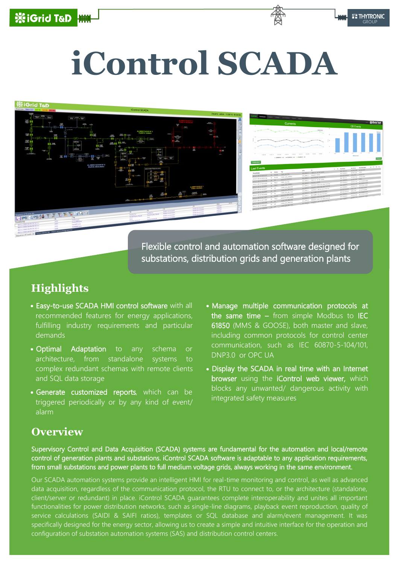# ※iGrid T&D

# **iControl SCADA**

### ...<br>≋iGrid



Flexible control and automation software designed for substations, distribution grids and generation plants

# **Highlights**

- Easy-to-use SCADA HMI control software with all recommended features for energy applications, fulfilling industry requirements and particular demands
- Optimal Adaptation to any schema or architecture, from standalone systems to complex redundant schemas with remote clients and SQL data storage
- Generate customized reports, which can be triggered periodically or by any kind of event/ alarm
- Manage multiple communication protocols at the same time  $-$  from simple Modbus to IEC 61850 (MMS & GOOSE), both master and slave, including common protocols for control center communication, such as IEC 60870-5-104/101, DNP3.0 or OPC UA
- Display the SCADA in real time with an Internet browser using the iControl web viewer, which blocks any unwanted/ dangerous activity with integrated safety measures

### **Overview**

Supervisory Control and Data Acquisition (SCADA) systems are fundamental for the automation and local/remote control of generation plants and substations. iControl SCADA software is adaptable to any application requirements, from small substations and power plants to full medium voltage grids, always working in the same environment.

Our SCADA automation systems provide an intelligent HMI for real-time monitoring and control, as well as advanced data acquisition, regardless of the communication protocol, the RTU to connect to, or the architecture (standalone, client/server or redundant) in place. iControl SCADA guarantees complete interoperability and unites all important functionalities for power distribution networks, such as single-line diagrams, playback event reproduction, quality of service calculations (SAIDI & SAIFI ratios), templates or SQL database and alarm/event management. It was specifically designed for the energy sector, allowing us to create a simple and intuitive interface for the operation and configuration of substation automation systems (SAS) and distribution control centers.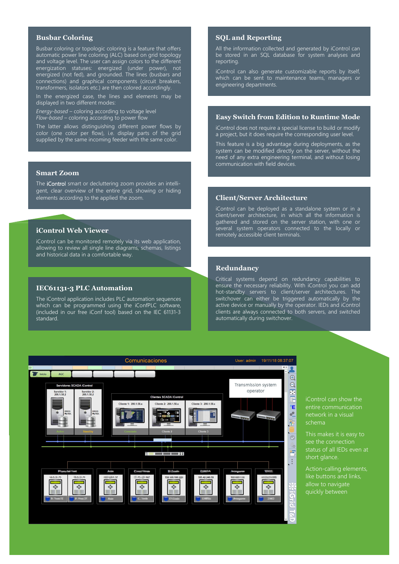### **Busbar Coloring**

Busbar coloring or topologic coloring is a feature that offers automatic power line coloring (ALC) based on grid topology and voltage level. The user can assign colors to the different energization statuses: energized (under power), not energized (not fed), and grounded. The lines (busbars and connections) and graphical components (circuit breakers, transformers, isolators etc.) are then colored accordingly.

In the energized case, the lines and elements may be displayed in two different modes:

*Energy-based* – coloring according to voltage level *Flow-based* – coloring according to power flow

The latter allows distinguishing different power flows by color (one color per flow), i.e. display parts of the grid supplied by the same incoming feeder with the same color.

### **Smart Zoom**

The *iControl* smart or decluttering zoom provides an intelligent, clear overview of the entire grid, showing or hiding elements according to the applied the zoom.

### **iControl Web Viewer**

iControl can be monitored remotely via its web application, allowing to review all single line diagrams, schemas, listings and historical data in a comfortable way.

### **IEC61131-3 PLC Automation**

The iControl application includes PLC automation sequences which can be programmed using the iConfPLC software, (included in our free iConf tool) based on the IEC 61131-3 standard.

### **SQL and Reporting**

All the information collected and generated by iControl can be stored in an SQL database for system analyses and reporting.

iControl can also generate customizable reports by itself, which can be sent to maintenance teams, managers or engineering departments.

### **Easy Switch from Edition to Runtime Mode**

iControl does not require a special license to build or modify a project, but it does require the corresponding user level.

This feature is a big advantage during deployments, as the system can be modified directly on the server, without the need of any extra engineering terminal, and without losing communication with field devices.

### **Client/Server Architecture**

iControl can be deployed as a standalone system or in a client/server architecture, in which all the information is gathered and stored on the server station, with one or several system operators connected to the locally or remotely accessible client terminals.

### **Redundancy**

Critical systems depend on redundancy capabilities to ensure the necessary reliability. With iControl you can add hot-standby servers to client/server architectures. The switchover can either be triggered automatically by the active device or manually by the operator. IEDs and iControl clients are always connected to both servers, and switched automatically during switchover.



iControl can show the entire communication network in a visual schema

This makes it is easy to see the connection status of all IEDs even at short glance.

Action-calling elements, like buttons and links, allow to navigate quickly between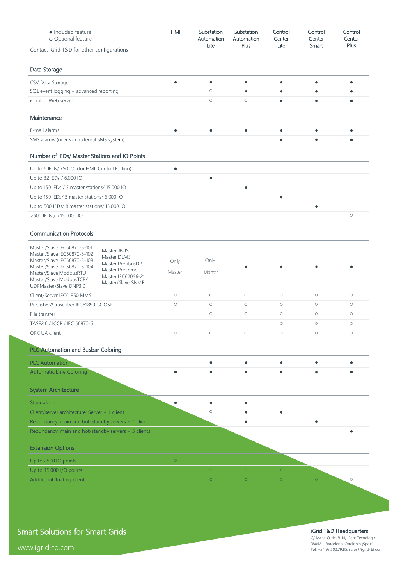| • Included feature<br>o Optional feature                                    |                                         | <b>HMI</b> | Substation<br>Automation<br>Lite | Substation<br>Automation<br>Plus | Control<br>Center<br>Lite | Control<br>Center<br>Smart | Control<br>Center<br>Plus |
|-----------------------------------------------------------------------------|-----------------------------------------|------------|----------------------------------|----------------------------------|---------------------------|----------------------------|---------------------------|
| Contact iGrid T&D for other configurations                                  |                                         |            |                                  |                                  |                           |                            |                           |
| Data Storage                                                                |                                         |            |                                  |                                  |                           |                            |                           |
| CSV Data Storage                                                            |                                         | $\bullet$  | $\bullet$                        | $\bullet$                        | $\bullet$                 | Ċ                          |                           |
| SQL event logging + advanced reporting                                      |                                         |            | $\circ$                          | $\bullet$                        | ٠                         | ۰                          |                           |
| iControl Web server                                                         |                                         |            | $\circ$                          | $\circ$                          | $\bullet$                 | ٠                          |                           |
| Maintenance                                                                 |                                         |            |                                  |                                  |                           |                            |                           |
| E-mail alarms                                                               |                                         | ٠          | $\bullet$                        | $\bullet$                        | $\bullet$                 |                            |                           |
| SMS alarms (needs an external SMS system)                                   |                                         |            |                                  |                                  | ٠                         | ٠                          |                           |
| Number of IEDs/ Master Stations and IO Points                               |                                         |            |                                  |                                  |                           |                            |                           |
| Up to 6 IEDs/750 IO (for HMI iControl Edition)                              |                                         | $\bullet$  |                                  |                                  |                           |                            |                           |
| Up to 32 IEDs / 6.000 IO                                                    |                                         |            | $\bullet$                        |                                  |                           |                            |                           |
| Up to 150 IEDs / 3 master stations/ 15.000 IO                               |                                         |            |                                  | ٠                                |                           |                            |                           |
| Up to 150 IEDs/ 3 master stations/ 6.000 IO                                 |                                         |            |                                  |                                  | $\bullet$                 |                            |                           |
| Up to 500 IEDs/ 8 master stations/ 15.000 IO                                |                                         |            |                                  |                                  |                           | $\bullet$                  |                           |
| >500 IEDs / >150.000 IO                                                     |                                         |            |                                  |                                  |                           |                            | $\circ$                   |
| <b>Communication Protocols</b>                                              |                                         |            |                                  |                                  |                           |                            |                           |
| Master/Slave IEC60870-5-101                                                 | Master JBUS                             |            |                                  |                                  |                           |                            |                           |
| Master/Slave IEC60870-5-102<br>Master/Slave IEC60870-5-103                  | Master DLMS                             | Only       | Only                             |                                  |                           |                            |                           |
| Master/Slave IEC60870-5-104                                                 | Master ProfibusDP<br>Master Procome     | Master     | Master                           |                                  |                           |                            |                           |
| Master/Slave ModbusRTU<br>Master/Slave ModbusTCP/<br>UDPMaster/Slave DNP3.0 | Master IEC62056-21<br>Master/Slave SNMP |            |                                  |                                  |                           |                            |                           |
| Client/Server IEC61850 MMS                                                  |                                         | $\circ$    | $\circ$                          | $\circ$                          | $\circ$                   | $\circ$                    | $\circ$                   |
| Publisher/Subscriber IEC61850 GOOSE                                         |                                         | $\circ$    | $\circ$                          | $\circ$                          | $\circ$                   | $\circ$                    | $\circ$                   |
| File transfer                                                               |                                         |            | $\bigcirc$                       | $\bigcirc$                       | $\circ$                   | $\bigcirc$                 | $\bigcirc$                |
| TASE2.0 / ICCP / IEC 60870-6                                                |                                         |            |                                  |                                  | $\circ$                   | $\circ$                    | $\circ$                   |
| OPC UA client                                                               |                                         | $\circ$    | $\circ$                          | $\circ$                          | $\circ$                   | $\circ$                    | $\circ$                   |
| <b>PLC Automation and Busbar Coloring</b>                                   |                                         |            |                                  |                                  |                           |                            |                           |
| <b>PLC Automation</b>                                                       |                                         |            | ٠                                | $\bullet$                        | $\bullet$                 | ٠                          | ٠                         |
| <b>Automatic Line Coloring</b>                                              |                                         |            |                                  |                                  |                           |                            |                           |
| <b>System Architecture</b>                                                  |                                         |            |                                  |                                  |                           |                            |                           |
| Standalone                                                                  |                                         | ٠          | ۰                                | $\bullet$                        |                           |                            |                           |
| Client/server architecture: Server + 1 client                               |                                         |            | $\circ$                          | ٠                                | $\bullet$                 |                            |                           |
| Redundancy: main and hot-standby servers + 1 client                         |                                         |            |                                  | ۰                                |                           | $\bullet$                  |                           |
| Redundancy: main and hot-standby servers + 5 clients                        |                                         |            |                                  |                                  |                           |                            |                           |
| <b>Extension Options</b>                                                    |                                         |            |                                  |                                  |                           |                            |                           |
| Up to 2500 IO points                                                        |                                         | $\circ$    |                                  |                                  |                           |                            |                           |
| Up to 15.000 I/O points                                                     |                                         |            | $\circ$                          | $\circ$                          | $\circ$                   |                            |                           |
| Additional floating client                                                  |                                         |            | $\circ$                          | $\circ$                          | $\circ$                   | $\circ$                    | $\circ$                   |

Smart Solutions for Smart Grids

www.igrid-td.com

### iGrid T&D Headquarters

C/ Marie Curie, 8-14, Parc Tecnològic 08042 – Barcelona, Catalonia (Spain) Tel. +34.93.502.79.85, sales@igrid-td.com